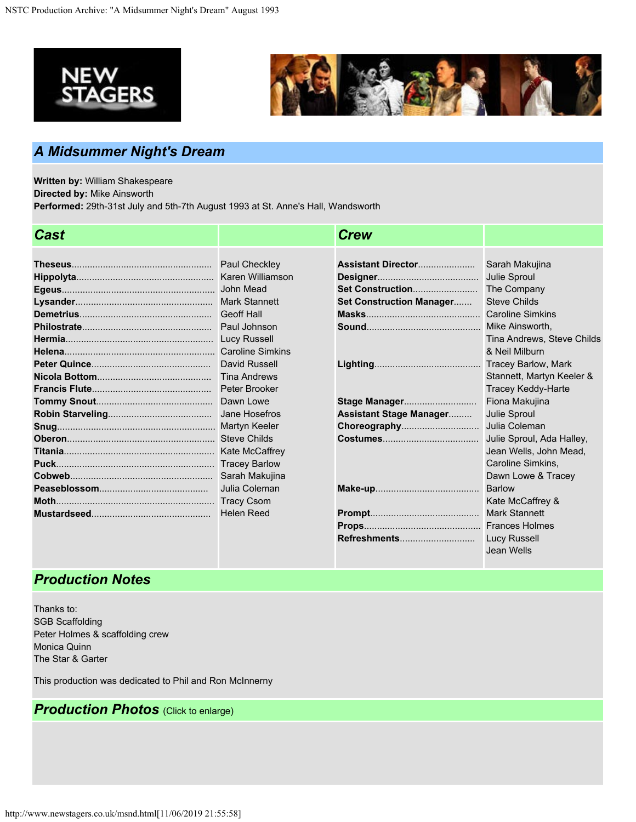



**Refreshments**.............................

Lucy Russell Jean Wells

## *A Midsummer Night's Dream*

**Written by:** William Shakespeare **Directed by:** Mike Ainsworth **Performed:** 29th-31st July and 5th-7th August 1993 at St. Anne's Hall, Wandsworth

| <b>Cast</b> |                         | <b>Crew</b>                     |                            |
|-------------|-------------------------|---------------------------------|----------------------------|
|             |                         |                                 |                            |
|             | Paul Checkley           | Assistant Director              | Sarah Makujina             |
|             |                         |                                 | Julie Sproul               |
|             |                         | Set Construction                | The Company                |
|             | <b>Mark Stannett</b>    | <b>Set Construction Manager</b> | <b>Steve Childs</b>        |
|             | <b>Geoff Hall</b>       |                                 | <b>Caroline Simkins</b>    |
|             | Paul Johnson            |                                 | Mike Ainsworth,            |
|             | Lucy Russell            |                                 | Tina Andrews, Steve Childs |
|             | <b>Caroline Simkins</b> |                                 | & Neil Milburn             |
|             | David Russell           |                                 |                            |
|             | <b>Tina Andrews</b>     |                                 | Stannett, Martyn Keeler &  |
|             | Peter Brooker           |                                 | <b>Tracey Keddy-Harte</b>  |
|             | Dawn Lowe               | Stage Manager                   | Fiona Makujina             |
|             | Jane Hosefros           | <b>Assistant Stage Manager</b>  | Julie Sproul               |
|             | Martyn Keeler           | Choreography                    | Julia Coleman              |
|             | <b>Steve Childs</b>     |                                 | Julie Sproul, Ada Halley,  |
|             | Kate McCaffrey          |                                 | Jean Wells, John Mead,     |
|             | <b>Tracey Barlow</b>    |                                 | Caroline Simkins,          |
|             | Sarah Makujina          |                                 | Dawn Lowe & Tracey         |
|             | Julia Coleman           |                                 | <b>Barlow</b>              |
|             | <b>Tracy Csom</b>       |                                 | Kate McCaffrey &           |
|             | <b>Helen Reed</b>       |                                 | <b>Mark Stannett</b>       |
|             |                         |                                 |                            |

## *Production Notes*

Thanks to: SGB Scaffolding Peter Holmes & scaffolding crew Monica Quinn The Star & Garter

This production was dedicated to Phil and Ron McInnerny

## *Production Photos* (Click to enlarge)